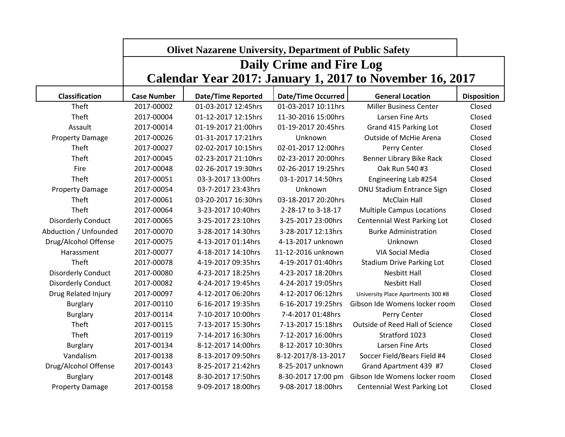|                           | <b>Olivet Nazarene University, Department of Public Safety</b> |                           |                           |                                        |                    |  |  |
|---------------------------|----------------------------------------------------------------|---------------------------|---------------------------|----------------------------------------|--------------------|--|--|
|                           | <b>Daily Crime and Fire Log</b>                                |                           |                           |                                        |                    |  |  |
|                           | Calendar Year 2017: January 1, 2017 to November 16, 2017       |                           |                           |                                        |                    |  |  |
| <b>Classification</b>     | <b>Case Number</b>                                             | <b>Date/Time Reported</b> | <b>Date/Time Occurred</b> | <b>General Location</b>                | <b>Disposition</b> |  |  |
| Theft                     | 2017-00002                                                     | 01-03-2017 12:45hrs       | 01-03-2017 10:11hrs       | <b>Miller Business Center</b>          | Closed             |  |  |
| Theft                     | 2017-00004                                                     | 01-12-2017 12:15hrs       | 11-30-2016 15:00hrs       | Larsen Fine Arts                       | Closed             |  |  |
| Assault                   | 2017-00014                                                     | 01-19-2017 21:00hrs       | 01-19-2017 20:45hrs       | Grand 415 Parking Lot                  | Closed             |  |  |
| <b>Property Damage</b>    | 2017-00026                                                     | 01-31-2017 17:21hrs       | Unknown                   | Outside of McHie Arena                 | Closed             |  |  |
| <b>Theft</b>              | 2017-00027                                                     | 02-02-2017 10:15hrs       | 02-01-2017 12:00hrs       | Perry Center                           | Closed             |  |  |
| Theft                     | 2017-00045                                                     | 02-23-2017 21:10hrs       | 02-23-2017 20:00hrs       | Benner Library Bike Rack               | Closed             |  |  |
| Fire                      | 2017-00048                                                     | 02-26-2017 19:30hrs       | 02-26-2017 19:25hrs       | Oak Run 540 #3                         | Closed             |  |  |
| Theft                     | 2017-00051                                                     | 03-3-2017 13:00hrs        | 03-1-2017 14:50hrs        | Engineering Lab #254                   | Closed             |  |  |
| <b>Property Damage</b>    | 2017-00054                                                     | 03-7-2017 23:43hrs        | Unknown                   | <b>ONU Stadium Entrance Sign</b>       | Closed             |  |  |
| Theft                     | 2017-00061                                                     | 03-20-2017 16:30hrs       | 03-18-2017 20:20hrs       | <b>McClain Hall</b>                    | Closed             |  |  |
| Theft                     | 2017-00064                                                     | 3-23-2017 10:40hrs        | 2-28-17 to 3-18-17        | <b>Multiple Campus Locations</b>       | Closed             |  |  |
| <b>Disorderly Conduct</b> | 2017-00065                                                     | 3-25-2017 23:10hrs        | 3-25-2017 23:00hrs        | <b>Centennial West Parking Lot</b>     | Closed             |  |  |
| Abduction / Unfounded     | 2017-00070                                                     | 3-28-2017 14:30hrs        | 3-28-2017 12:13hrs        | <b>Burke Administration</b>            | Closed             |  |  |
| Drug/Alcohol Offense      | 2017-00075                                                     | 4-13-2017 01:14hrs        | 4-13-2017 unknown         | Unknown                                | Closed             |  |  |
| Harassment                | 2017-00077                                                     | 4-18-2017 14:10hrs        | 11-12-2016 unknown        | <b>VIA Social Media</b>                | Closed             |  |  |
| Theft                     | 2017-00078                                                     | 4-19-2017 09:35hrs        | 4-19-2017 01:40hrs        | <b>Stadium Drive Parking Lot</b>       | Closed             |  |  |
| <b>Disorderly Conduct</b> | 2017-00080                                                     | 4-23-2017 18:25hrs        | 4-23-2017 18:20hrs        | <b>Nesbitt Hall</b>                    | Closed             |  |  |
| <b>Disorderly Conduct</b> | 2017-00082                                                     | 4-24-2017 19:45hrs        | 4-24-2017 19:05hrs        | <b>Nesbitt Hall</b>                    | Closed             |  |  |
| Drug Related Injury       | 2017-00097                                                     | 4-12-2017 06:20hrs        | 4-12-2017 06:12hrs        | University Place Apartments 300 #8     | Closed             |  |  |
| <b>Burglary</b>           | 2017-00110                                                     | 6-16-2017 19:35hrs        | 6-16-2017 19:25hrs        | Gibson Ide Womens locker room          | Closed             |  |  |
| <b>Burglary</b>           | 2017-00114                                                     | 7-10-2017 10:00hrs        | 7-4-2017 01:48hrs         | Perry Center                           | Closed             |  |  |
| Theft                     | 2017-00115                                                     | 7-13-2017 15:30hrs        | 7-13-2017 15:18hrs        | <b>Outside of Reed Hall of Science</b> | Closed             |  |  |
| Theft                     | 2017-00119                                                     | 7-14-2017 16:30hrs        | 7-12-2017 16:00hrs        | Stratford 1023                         | Closed             |  |  |
| <b>Burglary</b>           | 2017-00134                                                     | 8-12-2017 14:00hrs        | 8-12-2017 10:30hrs        | Larsen Fine Arts                       | Closed             |  |  |
| Vandalism                 | 2017-00138                                                     | 8-13-2017 09:50hrs        | 8-12-2017/8-13-2017       | Soccer Field/Bears Field #4            | Closed             |  |  |
| Drug/Alcohol Offense      | 2017-00143                                                     | 8-25-2017 21:42hrs        | 8-25-2017 unknown         | Grand Apartment 439 #7                 | Closed             |  |  |
| <b>Burglary</b>           | 2017-00148                                                     | 8-30-2017 17:50hrs        | 8-30-2017 17:00 pm        | Gibson Ide Womens locker room          | Closed             |  |  |
| <b>Property Damage</b>    | 2017-00158                                                     | 9-09-2017 18:00hrs        | 9-08-2017 18:00hrs        | <b>Centennial West Parking Lot</b>     | Closed             |  |  |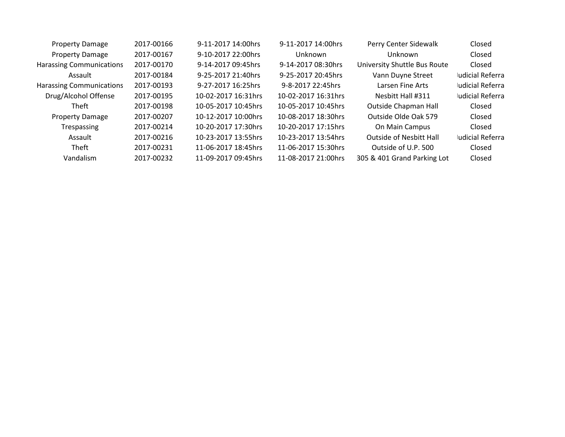| 2017-00166 | 9-11-2017 14:00hrs  | 9-11-2017 14:00hrs  | Perry Center Sidewalk          | Closed           |
|------------|---------------------|---------------------|--------------------------------|------------------|
| 2017-00167 | 9-10-2017 22:00hrs  | Unknown             | Unknown                        | Closed           |
| 2017-00170 | 9-14-2017 09:45hrs  | 9-14-2017 08:30hrs  | University Shuttle Bus Route   | Closed           |
| 2017-00184 | 9-25-2017 21:40hrs  | 9-25-2017 20:45hrs  | Vann Duyne Street              | ludicial Referra |
| 2017-00193 | 9-27-2017 16:25hrs  | 9-8-2017 22:45hrs   | Larsen Fine Arts               | Iudicial Referra |
| 2017-00195 | 10-02-2017 16:31hrs | 10-02-2017 16:31hrs | Nesbitt Hall #311              | Iudicial Referra |
| 2017-00198 | 10-05-2017 10:45hrs | 10-05-2017 10:45hrs | Outside Chapman Hall           | Closed           |
| 2017-00207 | 10-12-2017 10:00hrs | 10-08-2017 18:30hrs | Outside Olde Oak 579           | Closed           |
| 2017-00214 | 10-20-2017 17:30hrs | 10-20-2017 17:15hrs | On Main Campus                 | Closed           |
| 2017-00216 | 10-23-2017 13:55hrs | 10-23-2017 13:54hrs | <b>Outside of Nesbitt Hall</b> | Iudicial Referra |
| 2017-00231 | 11-06-2017 18:45hrs | 11-06-2017 15:30hrs | Outside of U.P. 500            | Closed           |
| 2017-00232 | 11-09-2017 09:45hrs | 11-08-2017 21:00hrs | 305 & 401 Grand Parking Lot    | Closed           |
|            |                     |                     |                                |                  |